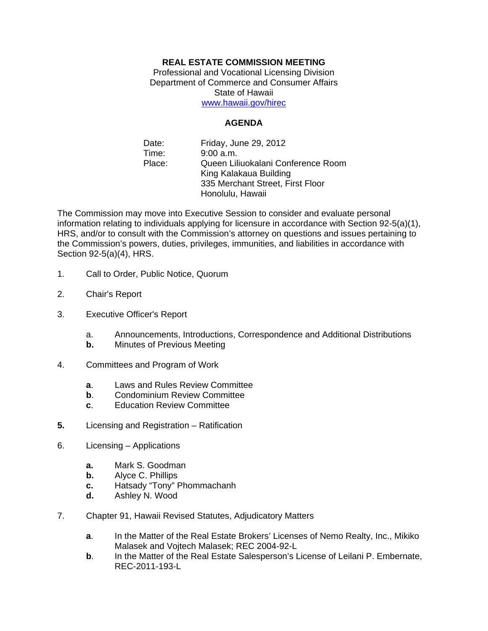## **REAL ESTATE COMMISSION MEETING**

Professional and Vocational Licensing Division Department of Commerce and Consumer Affairs State of Hawaii www.hawaii.gov/hirec

## **AGENDA**

Date: Friday, June 29, 2012 Time: 9:00 a.m. Place: Queen Liliuokalani Conference Room King Kalakaua Building 335 Merchant Street, First Floor Honolulu, Hawaii

The Commission may move into Executive Session to consider and evaluate personal information relating to individuals applying for licensure in accordance with Section 92-5(a)(1), HRS, and/or to consult with the Commission's attorney on questions and issues pertaining to the Commission's powers, duties, privileges, immunities, and liabilities in accordance with Section 92-5(a)(4), HRS.

- 1. Call to Order, Public Notice, Quorum
- 2. Chair's Report
- 3. Executive Officer's Report
	- a. Announcements, Introductions, Correspondence and Additional Distributions
	- **b.** Minutes of Previous Meeting
- 4. Committees and Program of Work
	- **a**. Laws and Rules Review Committee
	- **b**. Condominium Review Committee
	- **c**. Education Review Committee
- **5.** Licensing and Registration Ratification
- 6. Licensing Applications
	- **a.** Mark S. Goodman
	- **b.** Alyce C. Phillips
	- **c.** Hatsady "Tony" Phommachanh
	- **d.** Ashley N. Wood
- 7. Chapter 91, Hawaii Revised Statutes, Adjudicatory Matters
	- **a**. In the Matter of the Real Estate Brokers' Licenses of Nemo Realty, Inc., Mikiko Malasek and Vojtech Malasek; REC 2004-92-L
	- **b.** In the Matter of the Real Estate Salesperson's License of Leilani P. Embernate, REC-2011-193-L